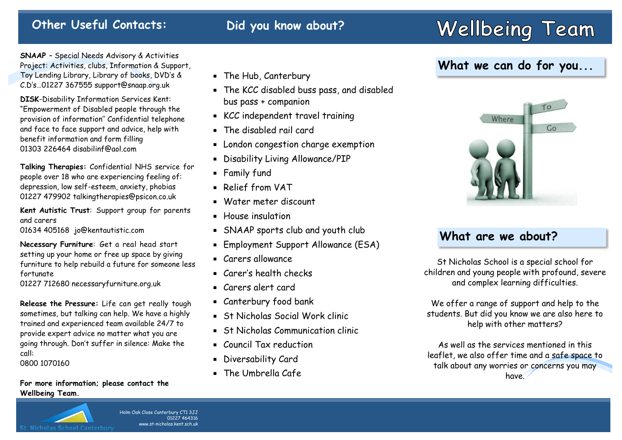#### **Other Useful Contacts: Did you know about?**

# **Wellbeing Team**

**SNAAP** – Special Needs Advisory & Activities Project: Activities, clubs, Information & Support, Toy Lending Library, Library of books, DVD's & C.D's…01227 367555 support@snaap.org.uk

**DISK**-Disability Information Services Kent: "Empowerment of Disabled people through the provision of information'' Confidential telephone and face to face support and advice, help with benefit information and form filling 01303 226464 disabilinf@aol.com

**Talking Therapies:** Confidential NHS service for people over 18 who are experiencing feeling of: depression, low self-esteem, anxiety, phobias 01227 479902 talkingtherapies@psicon.co.uk

**Kent Autistic Trust**: Support group for parents and carers 01634 405168 jo@kentautistic.com

**Necessary Furniture**: Get a real head start setting up your home or free up space by giving furniture to help rebuild a future for someone less fortunate

01227 712680 necessaryfurniture.org.uk

**Release the Pressure:** Life can get really tough sometimes, but talking can help. We have a highly trained and experienced team available 24/7 to provide expert advice no matter what you are going through. Don't suffer in silence: Make the call:

0800 1070160

#### **For more information; please contact the Wellbeing Team.**

#### The Hub, Canterbury

- The KCC disabled buss pass, and disabled bus pass + companion
- KCC independent travel training
- The disabled rail card
- **Example 2** London congestion charge exemption
- Disability Living Allowance/PIP
- **Family fund**
- Relief from VAT
- Water meter discount
- **House** insulation
- SNAAP sports club and youth club
- **Employment Support Allowance (ESA)**
- Carers allowance
- Carer's health checks
- Carers alert card
- Canterbury food bank
- St Nicholas Social Work clinic
- **St Nicholas Communication clinic**
- Council Tax reduction
- Diversability Card
- **The Umbrella Cafe**

### **What we can do for you...**



#### **What are we about?**

St Nicholas School is a special school for children and young people with profound, severe and complex learning difficulties.

We offer a range of support and help to the students. But did you know we are also here to help with other matters?

As well as the services mentioned in this leaflet, we also offer time and a safe space to talk about any worries or concerns you may have.

Holm Oak Close Canterbury CT1 3JJ 01227 464316 www.st-nicholas.kent.sch.uk